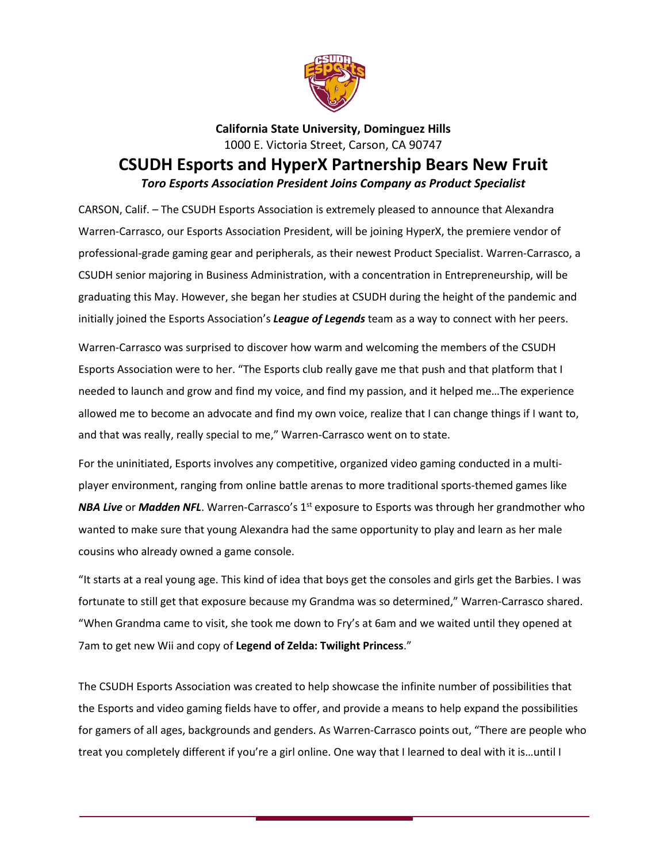

**California State University, Dominguez Hills** 1000 E. Victoria Street, Carson, CA 90747

## **CSUDH Esports and HyperX Partnership Bears New Fruit** *Toro Esports Association President Joins Company as Product Specialist*

CARSON, Calif. – The CSUDH Esports Association is extremely pleased to announce that Alexandra Warren-Carrasco, our Esports Association President, will be joining HyperX, the premiere vendor of professional-grade gaming gear and peripherals, as their newest Product Specialist. Warren-Carrasco, a CSUDH senior majoring in Business Administration, with a concentration in Entrepreneurship, will be graduating this May. However, she began her studies at CSUDH during the height of the pandemic and initially joined the Esports Association's *League of Legends* team as a way to connect with her peers.

Warren-Carrasco was surprised to discover how warm and welcoming the members of the CSUDH Esports Association were to her. "The Esports club really gave me that push and that platform that I needed to launch and grow and find my voice, and find my passion, and it helped me…The experience allowed me to become an advocate and find my own voice, realize that I can change things if I want to, and that was really, really special to me," Warren-Carrasco went on to state.

For the uninitiated, Esports involves any competitive, organized video gaming conducted in a multiplayer environment, ranging from online battle arenas to more traditional sports-themed games like **NBA Live** or **Madden NFL**. Warren-Carrasco's 1<sup>st</sup> exposure to Esports was through her grandmother who wanted to make sure that young Alexandra had the same opportunity to play and learn as her male cousins who already owned a game console.

"It starts at a real young age. This kind of idea that boys get the consoles and girls get the Barbies. I was fortunate to still get that exposure because my Grandma was so determined," Warren-Carrasco shared. "When Grandma came to visit, she took me down to Fry's at 6am and we waited until they opened at 7am to get new Wii and copy of **Legend of Zelda: Twilight Princess**."

The CSUDH Esports Association was created to help showcase the infinite number of possibilities that the Esports and video gaming fields have to offer, and provide a means to help expand the possibilities for gamers of all ages, backgrounds and genders. As Warren-Carrasco points out, "There are people who treat you completely different if you're a girl online. One way that I learned to deal with it is…until I